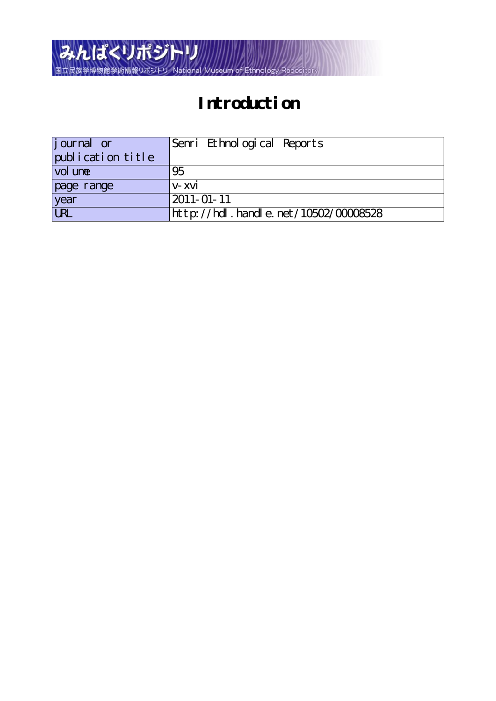

# **Introduction**

| <i>j</i> ournal or | Senri Ethnological Reports               |
|--------------------|------------------------------------------|
| publication title  |                                          |
| vol une            | 95                                       |
| page range         | v-xvi                                    |
| year               | 2011-01-11                               |
| URL                | http://hdl . handl e. net/10502/00008528 |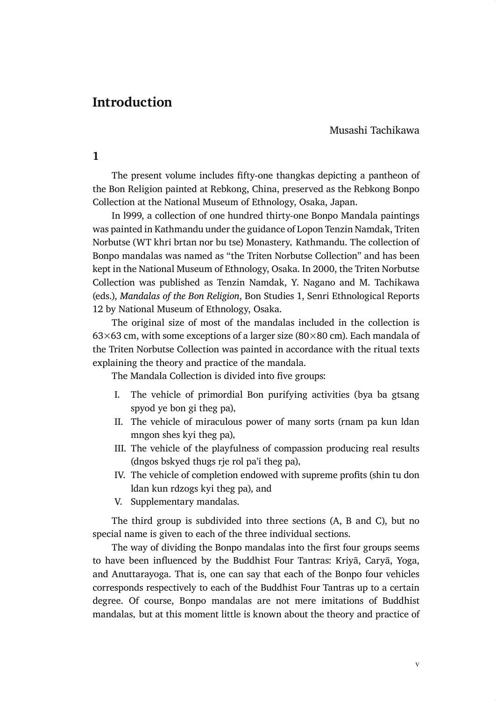## **Introduction**

Musashi Tachikawa

**1**

The present volume includes fifty-one thangkas depicting a pantheon of the Bon Religion painted at Rebkong, China, preserved as the Rebkong Bonpo Collection at the National Museum of Ethnology, Osaka, Japan.

In l999, a collection of one hundred thirty-one Bonpo Mandala paintings was painted in Kathmandu under the guidance of Lopon Tenzin Namdak, Triten Norbutse (WT khri brtan nor bu tse) Monastery, Kathmandu. The collection of Bonpo mandalas was named as "the Triten Norbutse Collection" and has been kept in the National Museum of Ethnology, Osaka. In 2000, the Triten Norbutse Collection was published as Tenzin Namdak, Y. Nagano and M. Tachikawa (eds.), *Mandalas of the Bon Religion*, Bon Studies 1, Senri Ethnological Reports 12 by National Museum of Ethnology, Osaka.

The original size of most of the mandalas included in the collection is 63×63 cm, with some exceptions of a larger size (80×80 cm). Each mandala of the Triten Norbutse Collection was painted in accordance with the ritual texts explaining the theory and practice of the mandala.

The Mandala Collection is divided into five groups:

- Ԋ The vehicle of primordial Bon purifying activities (bya ba gtsang spyod ye bon gi theg pa),
- II. The vehicle of miraculous power of many sorts (rnam pa kun ldan mngon shes kyi theg pa),
- III. The vehicle of the playfulness of compassion producing real results (dngos bskyed thugs rje rol pa'i theg pa),
- IV. The vehicle of completion endowed with supreme profits (shin tu don ldan kun rdzogs kyi theg pa), and
- V. Supplementary mandalas.

The third group is subdivided into three sections (A, B and C), but no special name is given to each of the three individual sections.

The way of dividing the Bonpo mandalas into the first four groups seems to have been influenced by the Buddhist Four Tantras: Kriyā, Caryā, Yoga, and Anuttarayoga. That is, one can say that each of the Bonpo four vehicles corresponds respectively to each of the Buddhist Four Tantras up to a certain degree. Of course, Bonpo mandalas are not mere imitations of Buddhist mandalas, but at this moment little is known about the theory and practice of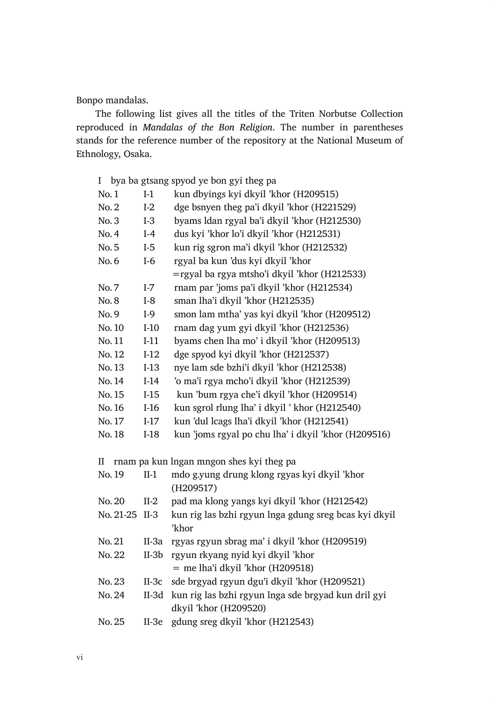Bonpo mandalas.

The following list gives all the titles of the Triten Norbutse Collection reproduced in *Mandalas of the Bon Religion*. The number in parentheses stands for the reference number of the repository at the National Museum of Ethnology, Osaka.

| I         |         | bya ba gtsang spyod ye bon gyi theg pa                         |
|-----------|---------|----------------------------------------------------------------|
| No.1      | $I-1$   | kun dbyings kyi dkyil 'khor (H209515)                          |
| No. 2     | $I-2$   | dge bsnyen theg pa'i dkyil 'khor (H221529)                     |
| No.3      | $I-3$   | byams ldan rgyal ba'i dkyil 'khor (H212530)                    |
| No. 4     | $I-4$   | dus kyi 'khor lo'i dkyil 'khor (H212531)                       |
| No.5      | $I-5$   | kun rig sgron ma'i dkyil 'khor (H212532)                       |
| No.6      | $I-6$   | rgyal ba kun 'dus kyi dkyil 'khor                              |
|           |         | $=$ rgyal ba rgya mtsho'i dkyil 'khor (H212533)                |
| No.7      | $I-7$   | rnam par 'joms pa'i dkyil 'khor (H212534)                      |
| No.8      | $I-8$   | sman lha'i dkyil 'khor (H212535)                               |
| No.9      | $I-9$   | smon lam mtha' yas kyi dkyil 'khor (H209512)                   |
| No. 10    | $I-10$  | rnam dag yum gyi dkyil 'khor (H212536)                         |
| No. 11    | $I-11$  | byams chen lha mo' i dkyil 'khor (H209513)                     |
| No. 12    | $I-12$  | dge spyod kyi dkyil 'khor (H212537)                            |
| No.13     | $I-13$  | nye lam sde bzhi'i dkyil 'khor (H212538)                       |
| No. 14    | $I-14$  | 'o ma'i rgya mcho'i dkyil 'khor (H212539)                      |
| No. 15    | $I-15$  | kun 'bum rgya che'i dkyil 'khor (H209514)                      |
| No. 16    | $I-16$  | kun sgrol rlung lha' i dkyil ' khor (H212540)                  |
| No. 17    | $I-17$  | kun 'dul lcags lha'i dkyil 'khor (H212541)                     |
| No. 18    | $I-18$  | kun 'joms rgyal po chu lha' i dkyil 'khor (H209516)            |
| II        |         | rnam pa kun lngan mngon shes kyi theg pa                       |
| No. 19    | $II-1$  | mdo g.yung drung klong rgyas kyi dkyil 'khor                   |
|           |         | (H209517)                                                      |
| No. 20    | $II-2$  | pad ma klong yangs kyi dkyil 'khor (H212542)                   |
| No. 21-25 | $II-3$  | kun rig las bzhi rgyun lnga gdung sreg bcas kyi dkyil<br>'khor |
| No. 21    | $II-3a$ | rgyas rgyun sbrag ma' i dkyil 'khor (H209519)                  |
| No. 22    | $II-3b$ | rgyun rkyang nyid kyi dkyil 'khor                              |
|           |         | $=$ me lha'i dkyil 'khor (H209518)                             |
| No. 23    | $II-3c$ | sde brgyad rgyun dgu'i dkyil 'khor (H209521)                   |

- No.  $24$  II-3d kun rig las bzhi rgyun lnga sde brgyad kun dril gyi dkyil 'khor (H209520)
- No. 25 II-3e gdung sreg dkyil 'khor (H212543)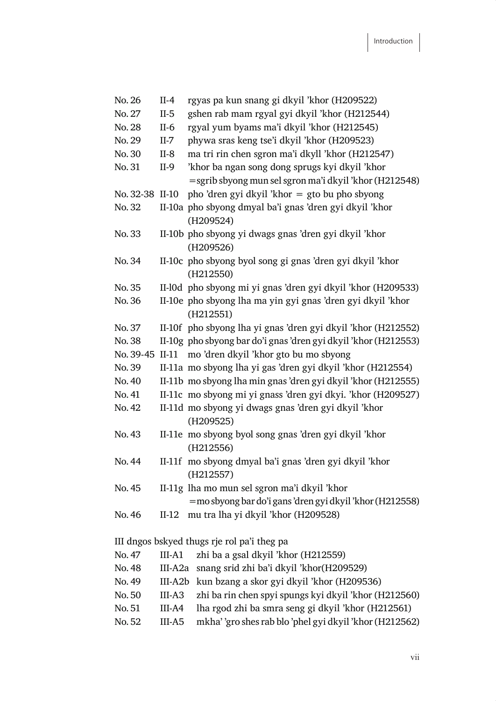| No. 26          | $II-4$    | rgyas pa kun snang gi dkyil 'khor (H209522)                              |
|-----------------|-----------|--------------------------------------------------------------------------|
| No. 27          | $II-5$    | gshen rab mam rgyal gyi dkyil 'khor (H212544)                            |
| No. 28          | $II-6$    | rgyal yum byams ma'i dkyil 'khor (H212545)                               |
| No. 29          | $II-7$    | phywa sras keng tse'i dkyil 'khor (H209523)                              |
| No. 30          | $II-8$    | ma tri rin chen sgron ma'i dkyll 'khor (H212547)                         |
| No. 31          | $II-9$    | 'khor ba ngan song dong sprugs kyi dkyil 'khor                           |
|                 |           | =sgrib sbyong mun sel sgron ma'i dkyil 'khor (H212548)                   |
| No. 32-38 II-10 |           | pho 'dren gyi dkyil 'khor = gto bu pho sbyong                            |
| No. 32          |           | II-10a pho sbyong dmyal ba'i gnas 'dren gyi dkyil 'khor                  |
|                 |           | (H209524)                                                                |
| No.33           |           | II-10b pho sbyong yi dwags gnas 'dren gyi dkyil 'khor<br>(H209526)       |
| No. 34          |           | II-10c pho sbyong byol song gi gnas 'dren gyi dkyil 'khor                |
|                 |           | (H212550)                                                                |
| No. 35          |           | II-l0d pho sbyong mi yi gnas 'dren gyi dkyil 'khor (H209533)             |
| No. 36          |           | II-10e pho sbyong lha ma yin gyi gnas 'dren gyi dkyil 'khor<br>(H212551) |
| No. 37          |           | II-10f pho sbyong lha yi gnas 'dren gyi dkyil 'khor (H212552)            |
| No. 38          |           | II-10g pho sbyong bar do'i gnas 'dren gyi dkyil 'khor (H212553)          |
| No. 39-45 II-11 |           | mo 'dren dkyil 'khor gto bu mo sbyong                                    |
| No. 39          |           | II-11a mo sbyong lha yi gas 'dren gyi dkyil 'khor (H212554)              |
| No. 40          |           | II-11b mo sbyong lha min gnas 'dren gyi dkyil 'khor (H212555)            |
| No. 41          |           | II-11c mo sbyong mi yi gnass 'dren gyi dkyi. 'khor (H209527)             |
| No. 42          |           | II-11d mo sbyong yi dwags gnas 'dren gyi dkyil 'khor<br>(H209525)        |
| No. 43          |           | II-11e mo sbyong byol song gnas 'dren gyi dkyil 'khor<br>(H212556)       |
| No. 44          |           | II-11f mo sbyong dmyal ba'i gnas 'dren gyi dkyil 'khor<br>(H212557)      |
| No. 45          |           | II-11g lha mo mun sel sgron ma'i dkyil 'khor                             |
|                 |           | =mo sbyong bar do'i gans 'dren gyi dkyil 'khor (H212558)                 |
| No. 46          | $II-12$   | mu tra lha yi dkyil 'khor (H209528)                                      |
|                 |           | III dngos bskyed thugs rje rol pa'i theg pa                              |
| No. 47          | $III-A1$  | zhi ba a gsal dkyil 'khor (H212559)                                      |
| No. 48          | III-A2a   | snang srid zhi ba'i dkyil 'khor(H209529)                                 |
| No. 49          | $III-A2b$ | kun bzang a skor gyi dkyil 'khor (H209536)                               |
| No.50           | $III-43$  | zhi ba rin chen spyi spungs kyi dkyil 'khor (H212560)                    |
| No.51           | III-A4    | lha rgod zhi ba smra seng gi dkyil 'khor (H212561)                       |
| No.52           | III-A5    | mkha' 'gro shes rab blo 'phel gyi dkyil 'khor (H212562)                  |
|                 |           |                                                                          |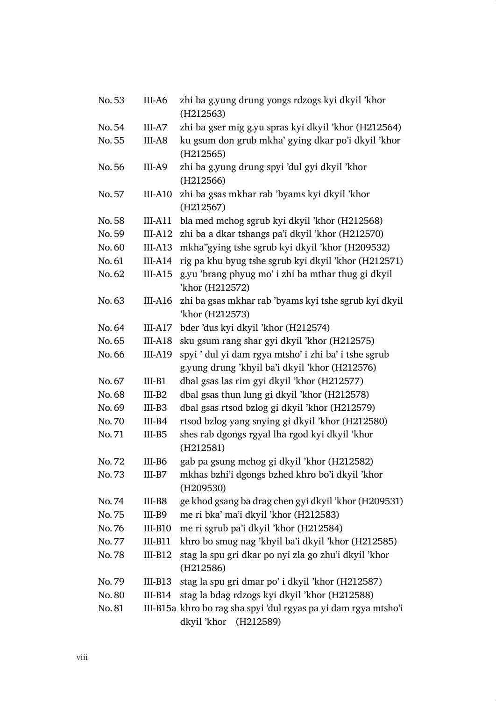| No.53  | III-A6    | zhi ba g.yung drung yongs rdzogs kyi dkyil 'khor<br>(H212563)            |
|--------|-----------|--------------------------------------------------------------------------|
| No.54  | III-A7    | zhi ba gser mig g.yu spras kyi dkyil 'khor (H212564)                     |
| No.55  | III-A8    | ku gsum don grub mkha' gying dkar po'i dkyil 'khor<br>(H212565)          |
| No.56  | III-A9    | zhi ba g.yung drung spyi 'dul gyi dkyil 'khor<br>(H212566)               |
| No.57  | $III-A10$ | zhi ba gsas mkhar rab 'byams kyi dkyil 'khor<br>(H212567)                |
| No.58  | $III-A11$ | bla med mchog sgrub kyi dkyil 'khor (H212568)                            |
| No.59  | $III-A12$ | zhi ba a dkar tshangs pa'i dkyil 'khor (H212570)                         |
| No.60  | $III-A13$ | mkha"gying tshe sgrub kyi dkyil 'khor (H209532)                          |
| No.61  | III-A14   | rig pa khu byug tshe sgrub kyi dkyil 'khor (H212571)                     |
| No.62  | $III-A15$ | g.yu 'brang phyug mo' i zhi ba mthar thug gi dkyil<br>'khor (H212572)    |
| No.63  | III-A16   | zhi ba gsas mkhar rab 'byams kyi tshe sgrub kyi dkyil<br>'khor (H212573) |
| No.64  | III-A17   | bder 'dus kyi dkyil 'khor (H212574)                                      |
| No.65  | $III-18$  | sku gsum rang shar gyi dkyil 'khor (H212575)                             |
| No.66  | III-A19   | spyi ' dul yi dam rgya mtsho' i zhi ba' i tshe sgrub                     |
|        |           | g.yung drung 'khyil ba'i dkyil 'khor (H212576)                           |
| No. 67 | $III-B1$  | dbal gsas las rim gyi dkyil 'khor (H212577)                              |
| No.68  | $III-B2$  | dbal gsas thun lung gi dkyil 'khor (H212578)                             |
| No.69  | III-B3    | dbal gsas rtsod bzlog gi dkyil 'khor (H212579)                           |
| No.70  | III-B4    | rtsod bzlog yang snying gi dkyil 'khor (H212580)                         |
| No.71  | III-B5    | shes rab dgongs rgyal lha rgod kyi dkyil 'khor<br>(H212581)              |
| No. 72 | III-B6    | gab pa gsung mchog gi dkyil 'khor (H212582)                              |
| No.73  | III-B7    | mkhas bzhi'i dgongs bzhed khro bo'i dkyil 'khor<br>(H209530)             |
| No.74  | III-B8    | ge khod gsang ba drag chen gyi dkyil 'khor (H209531)                     |
| No.75  | III-B9    | me ri bka' ma'i dkyil 'khor (H212583)                                    |
| No.76  |           | III-B10 me ri sgrub pa'i dkyil 'khor (H212584)                           |
| No. 77 | $III-B11$ | khro bo smug nag 'khyil ba'i dkyil 'khor (H212585)                       |
| No.78  | $III-B12$ | stag la spu gri dkar po nyi zla go zhu'i dkyil 'khor                     |
|        |           | (H212586)                                                                |
| No.79  | $III-B13$ | stag la spu gri dmar po' i dkyil 'khor (H212587)                         |
| No.80  | $III-B14$ | stag la bdag rdzogs kyi dkyil 'khor (H212588)                            |
| No. 81 |           | III-B15a khro bo rag sha spyi 'dul rgyas pa yi dam rgya mtsho'i          |
|        |           | dkyil 'khor (H212589)                                                    |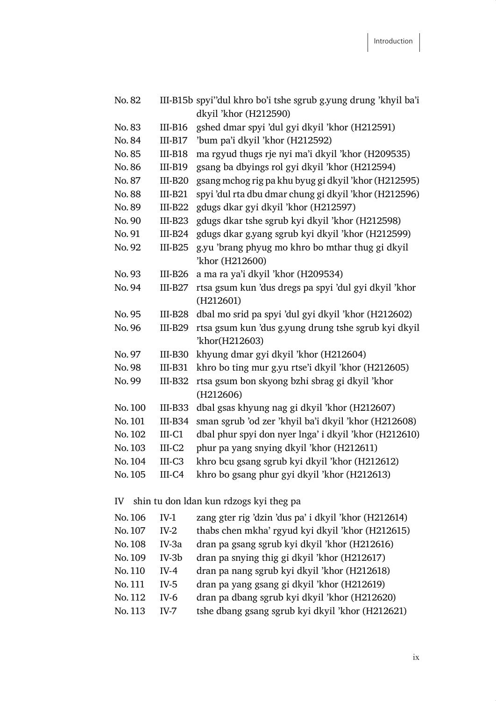| No.82   |           | III-B15b spyi"dul khro bo'i tshe sgrub g.yung drung 'khyil ba'i |
|---------|-----------|-----------------------------------------------------------------|
|         |           | dkyil 'khor (H212590)                                           |
| No.83   | $III-B16$ | gshed dmar spyi 'dul gyi dkyil 'khor (H212591)                  |
| No.84   | $III-B17$ | 'bum pa'i dkyil 'khor (H212592)                                 |
| No.85   | $III-B18$ | ma rgyud thugs rje nyi ma'i dkyil 'khor (H209535)               |
| No.86   | $III-B19$ | gsang ba dbyings rol gyi dkyil 'khor (H212594)                  |
| No.87   | $III-B20$ | gsang mchog rig pa khu byug gi dkyil 'khor (H212595)            |
| No.88   | $III-B21$ | spyi 'dul rta dbu dmar chung gi dkyil 'khor (H212596)           |
| No.89   | $III-B22$ | gdugs dkar gyi dkyil 'khor (H212597)                            |
| No.90   | $III-B23$ | gdugs dkar tshe sgrub kyi dkyil 'khor (H212598)                 |
| No. 91  | $III-B24$ | gdugs dkar g.yang sgrub kyi dkyil 'khor (H212599)               |
| No. 92  | $III-B25$ | g.yu 'brang phyug mo khro bo mthar thug gi dkyil                |
|         |           | 'khor (H212600)                                                 |
| No.93   | $III-B26$ | a ma ra ya'i dkyil 'khor (H209534)                              |
| No.94   | $III-B27$ | rtsa gsum kun 'dus dregs pa spyi 'dul gyi dkyil 'khor           |
|         |           | (H212601)                                                       |
| No. 95  | $III-B28$ | dbal mo srid pa spyi 'dul gyi dkyil 'khor (H212602)             |
| No.96   | $III-B29$ | rtsa gsum kun 'dus g.yung drung tshe sgrub kyi dkyil            |
|         |           | 'khor(H212603)                                                  |
| No. 97  | $III-B30$ | khyung dmar gyi dkyil 'khor (H212604)                           |
| No.98   | $III-B31$ | khro bo ting mur g.yu rtse'i dkyil 'khor (H212605)              |
| No.99   | $III-B32$ | rtsa gsum bon skyong bzhi sbrag gi dkyil 'khor                  |
|         |           | (H212606)                                                       |
| No. 100 | $III-B33$ | dbal gsas khyung nag gi dkyil 'khor (H212607)                   |
| No. 101 | $III-B34$ | sman sgrub 'od zer 'khyil ba'i dkyil 'khor (H212608)            |
| No. 102 | $III-C1$  | dbal phur spyi don nyer lnga' i dkyil 'khor (H212610)           |
| No. 103 | $III-C2$  | phur pa yang snying dkyil 'khor (H212611)                       |
| No. 104 | $III-C3$  | khro bcu gsang sgrub kyi dkyil 'khor (H212612)                  |
| No. 105 | $III-C4$  | khro bo gsang phur gyi dkyil 'khor (H212613)                    |
|         |           |                                                                 |
| IV      |           | shin tu don ldan kun rdzogs kyi theg pa                         |
| No. 106 | $IV-1$    | zang gter rig 'dzin 'dus pa' i dkyil 'khor (H212614)            |
| No. 107 | $IV-2$    | thabs chen mkha' rgyud kyi dkyil 'khor (H212615)                |
| No. 108 | IV-3a     | dran pa gsang sgrub kyi dkyil 'khor (H212616)                   |
|         |           |                                                                 |

- dran pa snying thig gi dkyil 'khor (H212617) No. 109  $IV-3b$
- No. 110  $IV-4$ dran pa nang sgrub kyi dkyil 'khor (H212618)
- dran pa yang gsang gi dkyil 'khor (H212619) No. 111  $IV-5$
- No. 112  $IV-6$ dran pa dbang sgrub kyi dkyil 'khor (H212620)
- No. 113 tshe dbang gsang sgrub kyi dkyil 'khor (H212621)  $IV-7$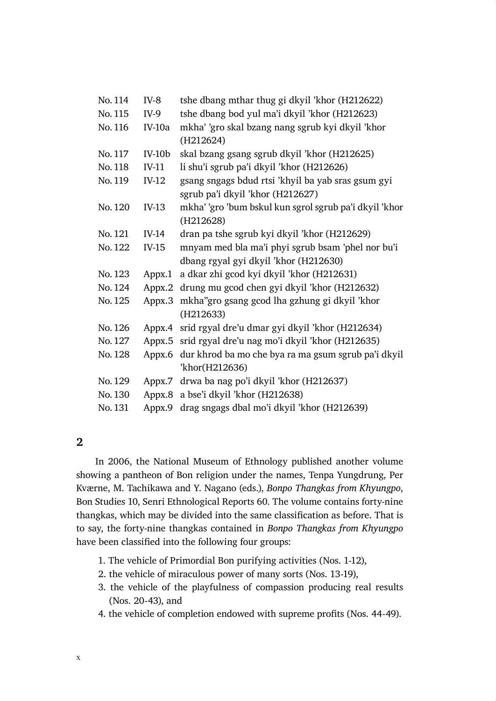| No. 114 | $IV-8$   | tshe dbang mthar thug gi dkyil 'khor (H212622)                                         |
|---------|----------|----------------------------------------------------------------------------------------|
| No. 115 | $IV-9$   | tshe dbang bod yul ma'i dkyil 'khor (H212623)                                          |
| No. 116 | $IV-10a$ | mkha' 'gro skal bzang nang sgrub kyi dkyil 'khor                                       |
|         |          | (H212624)                                                                              |
| No. 117 | $IV-10b$ | skal bzang gsang sgrub dkyil 'khor (H212625)                                           |
| No. 118 | IV-11    | li shu'i sgrub pa'i dkyil 'khor (H212626)                                              |
| No. 119 | $IV-12$  | gsang sngags bdud rtsi 'khyil ba yab sras gsum gyi<br>sgrub pa'i dkyil 'khor (H212627) |
| No. 120 | $IV-13$  | mkha' 'gro 'bum bskul kun sgrol sgrub pa'i dkyil 'khor<br>(H212628)                    |
| No. 121 | IV-14    | dran pa tshe sgrub kyi dkyil 'khor (H212629)                                           |
| No. 122 | $IV-15$  | mnyam med bla ma'i phyi sgrub bsam 'phel nor bu'i                                      |
|         |          | dbang rgyal gyi dkyil 'khor (H212630)                                                  |
| No. 123 | Appx.1   | a dkar zhi gcod kyi dkyil 'khor (H212631)                                              |
| No. 124 | Appx.2   | drung mu gcod chen gyi dkyil 'khor (H212632)                                           |
| No. 125 | Appx.3   | mkha" gro gsang gcod lha gzhung gi dkyil 'khor<br>(H212633)                            |
| No. 126 | Appx.4   | srid rgyal dre'u dmar gyi dkyil 'khor (H212634)                                        |
| No. 127 |          | Appx.5 srid rgyal dre'u nag mo'i dkyil 'khor (H212635)                                 |
| No. 128 | Appx.6   | dur khrod ba mo che bya ra ma gsum sgrub pa'i dkyil                                    |
|         |          | 'khor(H212636)                                                                         |
| No. 129 |          | Appx.7 drwa ba nag po'i dkyil 'khor (H212637)                                          |
| No. 130 | Appx.8   | a bse'i dkyil 'khor (H212638)                                                          |
| No. 131 | Appx.9   | drag sngags dbal mo'i dkyil 'khor (H212639)                                            |

### $\overline{2}$

In 2006, the National Museum of Ethnology published another volume showing a pantheon of Bon religion under the names, Tenpa Yungdrung, Per Kværne, M. Tachikawa and Y. Nagano (eds.), Bonpo Thangkas from Khyungpo, Bon Studies 10, Senri Ethnological Reports 60. The volume contains forty-nine thangkas, which may be divided into the same classification as before. That is to say, the forty-nine thangkas contained in Bonpo Thangkas from Khyungpo have been classified into the following four groups:

- 1. The vehicle of Primordial Bon purifying activities (Nos. 1-12),
- 2. the vehicle of miraculous power of many sorts (Nos. 13-19),
- 3. the vehicle of the playfulness of compassion producing real results (Nos. 20-43), and
- 4. the vehicle of completion endowed with supreme profits (Nos. 44-49).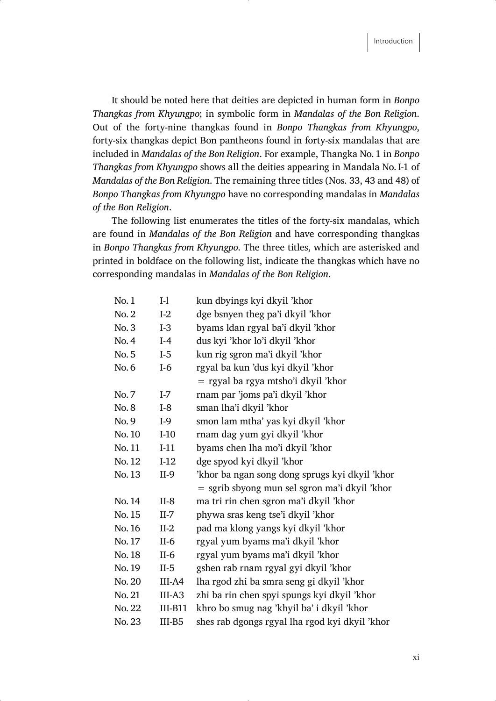It should be noted here that deities are depicted in human form in *Bonpo Thangkas from Khyungpo*; in symbolic form in *Mandalas of the Bon Religion*. Out of the forty-nine thangkas found in *Bonpo Thangkas from Khyungpo*, forty-six thangkas depict Bon pantheons found in forty-six mandalas that are included in *Mandalas of the Bon Religion*. For example, Thangka No. 1 in *Bonpo Thangkas from Khyungpo* shows all the deities appearing in Mandala No. I-1 of *Mandalas of the Bon Religion*. The remaining three titles (Nos. 33, 43 and 48) of *Bonpo Thangkas from Khyungpo* have no corresponding mandalas in *Mandalas of the Bon Religion*.

The following list enumerates the titles of the forty-six mandalas, which are found in *Mandalas of the Bon Religion* and have corresponding thangkas in *Bonpo Thangkas from Khyungpo*. The three titles, which are asterisked and printed in boldface on the following list, indicate the thangkas which have no corresponding mandalas in *Mandalas of the Bon Religion*.

| No.1   | $I-1$     | kun dbyings kyi dkyil 'khor                    |
|--------|-----------|------------------------------------------------|
| No. 2  | $I-2$     | dge bsnyen theg pa'i dkyil 'khor               |
| No.3   | $I-3$     | byams ldan rgyal ba'i dkyil 'khor              |
| No. 4  | $I-4$     | dus kyi 'khor lo'i dkyil 'khor                 |
| No. 5  | $I-5$     | kun rig sgron ma'i dkyil 'khor                 |
| No. 6  | $I-6$     | rgyal ba kun 'dus kyi dkyil 'khor              |
|        |           | = rgyal ba rgya mtsho'i dkyil 'khor            |
| No. 7  | $I-7$     | rnam par 'joms pa'i dkyil 'khor                |
| No. 8  | $I-8$     | sman lha'i dkyil 'khor                         |
| No.9   | I-9       | smon lam mtha' yas kyi dkyil 'khor             |
| No. 10 | $I-10$    | rnam dag yum gyi dkyil 'khor                   |
| No. 11 | $I-11$    | byams chen lha mo'i dkyil 'khor                |
| No. 12 | $I-12$    | dge spyod kyi dkyil 'khor                      |
| No. 13 | $II-9$    | 'khor ba ngan song dong sprugs kyi dkyil 'khor |
|        |           | = sgrib sbyong mun sel sgron ma'i dkyil 'khor  |
| No. 14 | $II-8$    | ma tri rin chen sgron ma'i dkyil 'khor         |
| No. 15 | $II-7$    | phywa sras keng tse'i dkyil 'khor              |
| No. 16 | $II-2$    | pad ma klong yangs kyi dkyil 'khor             |
| No. 17 | $II-6$    | rgyal yum byams ma'i dkyil 'khor               |
| No. 18 | $II-6$    | rgyal yum byams ma'i dkyil 'khor               |
| No. 19 | $II-5$    | gshen rab rnam rgyal gyi dkyil 'khor           |
| No. 20 | III-A4    | lha rgod zhi ba smra seng gi dkyil 'khor       |
| No. 21 | III-A3    | zhi ba rin chen spyi spungs kyi dkyil 'khor    |
| No. 22 | $III-B11$ | khro bo smug nag 'khyil ba' i dkyil 'khor      |
| No. 23 | III-B5    | shes rab dgongs rgyal lha rgod kyi dkyil 'khor |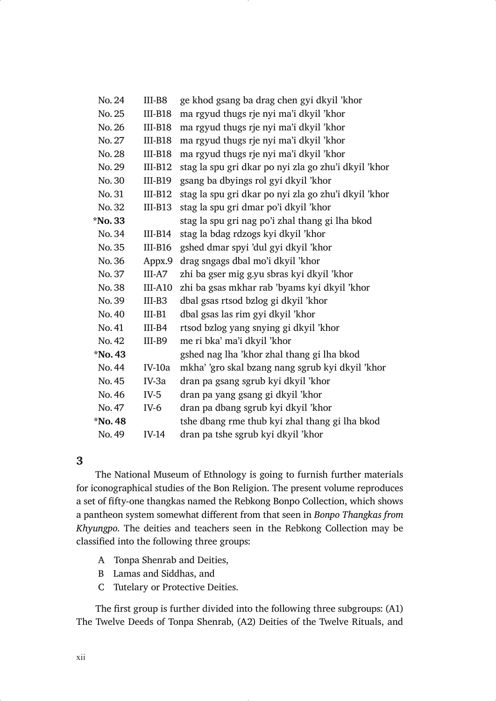| No. 24  | III-B8        | ge khod gsang ba drag chen gyi dkyil 'khor           |
|---------|---------------|------------------------------------------------------|
| No. 25  | $III-B18$     | ma rgyud thugs rje nyi ma'i dkyil 'khor              |
| No. 26  | $III-B18$     | ma rgyud thugs rje nyi ma'i dkyil 'khor              |
| No. 27  | $III-B18$     | ma rgyud thugs rje nyi ma'i dkyil 'khor              |
| No. 28  | $III-B18$     | ma rgyud thugs rje nyi ma'i dkyil 'khor              |
| No. 29  | $III-B12$     | stag la spu gri dkar po nyi zla go zhu'i dkyil 'khor |
| No. 30  | $III-B19$     | gsang ba dbyings rol gyi dkyil 'khor                 |
| No. 31  | $III-B12$     | stag la spu gri dkar po nyi zla go zhu'i dkyil 'khor |
| No. 32  | $III-B13$     | stag la spu gri dmar po'i dkyil 'khor                |
| *No. 33 |               | stag la spu gri nag po'i zhal thang gi lha bkod      |
| No. 34  | $III-B14$     | stag la bdag rdzogs kyi dkyil 'khor                  |
| No. 35  | $III-B16$     | gshed dmar spyi 'dul gyi dkyil 'khor                 |
| No. 36  | Appx.9        | drag sngags dbal mo'i dkyil 'khor                    |
| No. 37  | III-A7        | zhi ba gser mig g.yu sbras kyi dkyil 'khor           |
| No. 38  | $III-A10$     | zhi ba gsas mkhar rab 'byams kyi dkyil 'khor         |
| No. 39  | $III-B3$      | dbal gsas rtsod bzlog gi dkyil 'khor                 |
| No. 40  | $III-B1$      | dbal gsas las rim gyi dkyil 'khor                    |
| No. 41  | $III-B4$      | rtsod bzlog yang snying gi dkyil 'khor               |
| No. 42  | III-B9        | me ri bka' ma'i dkyil 'khor                          |
| *No. 43 |               | gshed nag lha 'khor zhal thang gi lha bkod           |
| No. 44  | <b>IV-10a</b> | mkha' 'gro skal bzang nang sgrub kyi dkyil 'khor     |
| No. 45  | IV-3a         | dran pa gsang sgrub kyi dkyil 'khor                  |
| No. 46  | IV-5          | dran pa yang gsang gi dkyil 'khor                    |
| No. 47  | $IV-6$        | dran pa dbang sgrub kyi dkyil 'khor                  |
| *No. 48 |               | tshe dbang rme thub kyi zhal thang gi lha bkod       |
| No. 49  | <b>IV-14</b>  | dran pa tshe sgrub kyi dkyil 'khor                   |

#### 3

The National Museum of Ethnology is going to furnish further materials for iconographical studies of the Bon Religion. The present volume reproduces a set of fifty-one thangkas named the Rebkong Bonpo Collection, which shows a pantheon system somewhat different from that seen in Bonpo Thangkas from Khyungpo. The deities and teachers seen in the Rebkong Collection may be classified into the following three groups:

- A Tonpa Shenrab and Deities,
- B Lamas and Siddhas, and
- C Tutelary or Protective Deities.

The first group is further divided into the following three subgroups: (A1) The Twelve Deeds of Tonpa Shenrab, (A2) Deities of the Twelve Rituals, and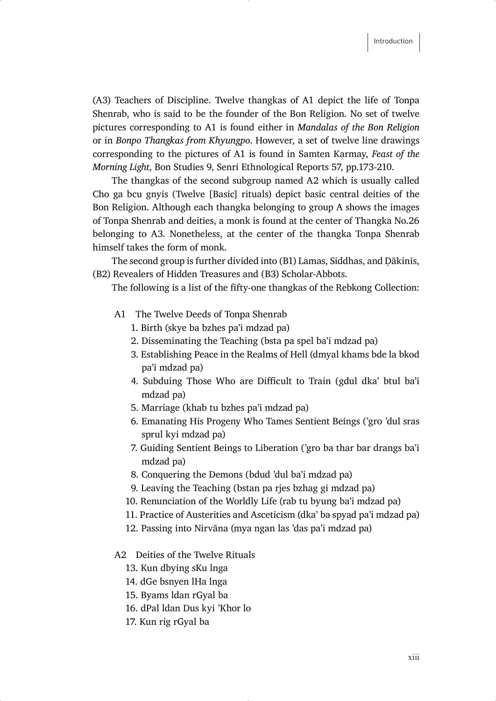(A3) Teachers of Discipline. Twelve thangkas of A1 depict the life of Tonpa Shenrab, who is said to be the founder of the Bon Religion. No set of twelve pictures corresponding to A1 is found either in *Mandalas of the Bon Religion*  or in *Bonpo Thangkas from Khyungpo*. However, a set of twelve line drawings corresponding to the pictures of A1 is found in Samten Karmay, *Feast of the Morning Light*, Bon Studies 9, Senri Ethnological Reports 57, pp.173-210.

The thangkas of the second subgroup named A2 which is usually called Cho ga bcu gnyis (Twelve [Basic] rituals) depict basic central deities of the Bon Religion. Although each thangka belonging to group A shows the images of Tonpa Shenrab and deities, a monk is found at the center of Thangka No.26 belonging to A3. Nonetheless, at the center of the thangka Tonpa Shenrab himself takes the form of monk.

The second group is further divided into (B1) Lamas, Siddhas, and Dākinīs, (B2) Revealers of Hidden Treasures and (B3) Scholar-Abbots.

The following is a list of the fifty-one thangkas of the Rebkong Collection:

- A1 The Twelve Deeds of Tonpa Shenrab
	- 1. Birth (skye ba bzhes pa'i mdzad pa)
	- 2. Disseminating the Teaching (bsta pa spel ba'i mdzad pa)
	- 3. Establishing Peace in the Realms of Hell (dmyal khams bde la bkod pa'i mdzad pa)
	- 4. Subduing Those Who are Difficult to Train (gdul dka' btul ba'i mdzad pa)
	- 5. Marriage (khab tu bzhes pa'i mdzad pa)
	- 6. Emanating His Progeny Who Tames Sentient Beings ('gro 'dul sras sprul kyi mdzad pa)
	- 7. Guiding Sentient Beings to Liberation ('gro ba thar bar drangs ba'i mdzad pa)
	- 8. Conquering the Demons (bdud 'dul ba'i mdzad pa)
	- 9. Leaving the Teaching (bstan pa rjes bzhag gi mdzad pa)
	- 10. Renunciation of the Worldly Life (rab tu byung ba'i mdzad pa)
	- 11. Practice of Austerities and Asceticism (dka' ba spyad pa'i mdzad pa)
	- 12. Passing into Nirvāna (mya ngan las 'das pa'i mdzad pa)

#### A2 Deities of the Twelve Rituals

- 13. Kun dbying sKu lnga
- 14. dGe bsnyen lHa lnga
- 15. Byams ldan rGyal ba
- 16. dPal ldan Dus kyi 'Khor lo
- 17. Kun rig rGyal ba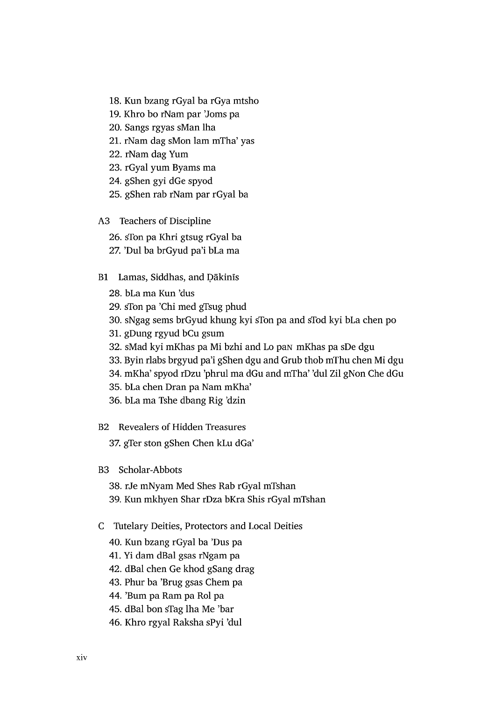- 18. Kun bzang rGyal ba rGya mtsho
- 19. Khro bo rNam par 'Joms pa
- 20. Sangs rgyas sMan lha
- 21. rNam dag sMon lam mTha' yas
- 22. rNam dag Yum
- 23. rGyal yum Byams ma
- 24. gShen gyi dGe spyod
- 25. gShen rab rNam par rGyal ba
- A3 Teachers of Discipline
	- 26. sTon pa Khri gtsug rGyal ba
	- 27. 'Dul ba brGyud pa'i bLa ma
- B1 Lamas, Siddhas, and Dākinīs
	- 28. bLa ma Kun 'dus
	- 29. sTon pa 'Chi med gTsug phud
	- 30. sNgag sems brGyud khung kyi sTon pa and sTod kyi bLa chen po
	- 31. gDung rgyud bCu gsum
	- 32. sMad kyi mKhas pa Mi bzhi and Lo pan mKhas pa sDe dgu
	- 33. Byin rlabs brgyud pa'i gShen dgu and Grub thob mThu chen Mi dgu
	- 34. mKha' spyod rDzu 'phrul ma dGu and mTha' 'dul Zil gNon Che dGu
	- 35. bLa chen Dran pa Nam mKha'
	- 36. bLa ma Tshe dbang Rig 'dzin
- **B2** Revealers of Hidden Treasures

37. gTer ston gShen Chen kLu dGa'

- B3 Scholar-Abbots
	- 38. rJe mNyam Med Shes Rab rGyal mTshan
	- 39. Kun mkhyen Shar rDza bKra Shis rGyal mTshan
- C Tutelary Deities, Protectors and Local Deities
	- 40. Kun bzang rGyal ba 'Dus pa
	- 41. Yi dam dBal gsas rNgam pa
	- 42. dBal chen Ge khod gSang drag
	- 43. Phur ba 'Brug gsas Chem pa
	- 44. 'Bum pa Ram pa Rol pa
	- 45. dBal bon sTag lha Me 'bar
	- 46. Khro rgyal Raksha sPyi 'dul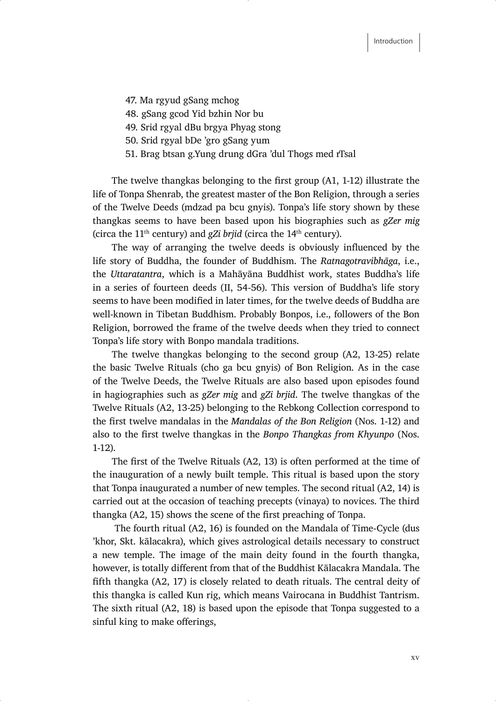- 47. Ma rgyud gSang mchog
- 48. gSang gcod Yid bzhin Nor bu
- 49. Srid rgyal dBu brgya Phyag stong
- 50. Srid rgyal bDe 'gro gSang yum
- 51. Brag btsan g.Yung drung dGra 'dul Thogs med rTsal

The twelve thangkas belonging to the first group (A1, 1-12) illustrate the life of Tonpa Shenrab, the greatest master of the Bon Religion, through a series of the Twelve Deeds (mdzad pa bcu gnyis). Tonpa's life story shown by these thangkas seems to have been based upon his biographies such as *gZer mig* (circa the  $11<sup>th</sup>$  century) and *gZi brjid* (circa the  $14<sup>th</sup>$  century).

The way of arranging the twelve deeds is obviously influenced by the life story of Buddha, the founder of Buddhism. The *Ratnagotravibhaga*, i.e., the *Uttaratantra*, which is a Mahāyāna Buddhist work, states Buddha's life in a series of fourteen deeds (II, 54-56). This version of Buddha's life story seems to have been modified in later times, for the twelve deeds of Buddha are well-known in Tibetan Buddhism. Probably Bonpos, i.e., followers of the Bon Religion, borrowed the frame of the twelve deeds when they tried to connect Tonpa's life story with Bonpo mandala traditions.

The twelve thangkas belonging to the second group (A2, 13-25) relate the basic Twelve Rituals (cho ga bcu gnyis) of Bon Religion. As in the case of the Twelve Deeds, the Twelve Rituals are also based upon episodes found in hagiographies such as *gZer mig* and *gZi brjid*. The twelve thangkas of the Twelve Rituals (A2, 13-25) belonging to the Rebkong Collection correspond to the first twelve mandalas in the Mandalas of the Bon Religion (Nos. 1-12) and also to the first twelve thangkas in the Bonpo Thangkas from Khyunpo (Nos. 1-12).

The first of the Twelve Rituals (A2, 13) is often performed at the time of the inauguration of a newly built temple. This ritual is based upon the story that Tonpa inaugurated a number of new temples. The second ritual (A2, 14) is carried out at the occasion of teaching precepts (vinaya) to novices. The third thangka (A2, 15) shows the scene of the first preaching of Tonpa.

 The fourth ritual (A2, 16) is founded on the Mandala of Time-Cycle (dus 'khor, Skt. kālacakra), which gives astrological details necessary to construct a new temple. The image of the main deity found in the fourth thangka, however, is totally different from that of the Buddhist Kālacakra Mandala. The fifth thangka  $(A2, 17)$  is closely related to death rituals. The central deity of this thangka is called Kun rig, which means Vairocana in Buddhist Tantrism. The sixth ritual (A2, 18) is based upon the episode that Tonpa suggested to a sinful king to make offerings,